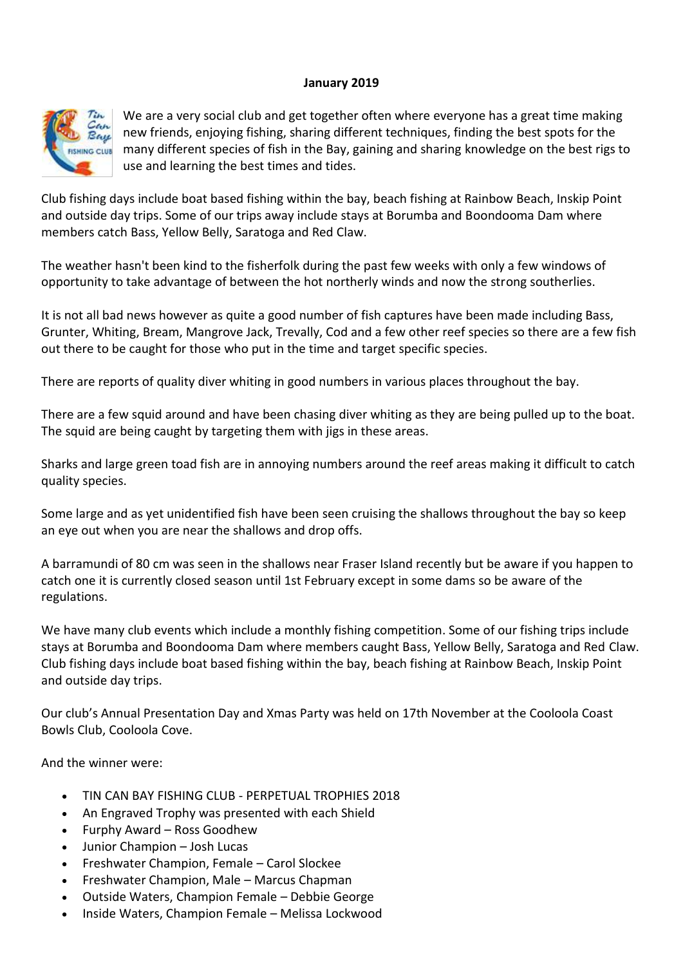#### **January 2019**



We are a very social club and get together often where everyone has a great time making new friends, enjoying fishing, sharing different techniques, finding the best spots for the many different species of fish in the Bay, gaining and sharing knowledge on the best rigs to use and learning the best times and tides.

Club fishing days include boat based fishing within the bay, beach fishing at Rainbow Beach, Inskip Point and outside day trips. Some of our trips away include stays at Borumba and Boondooma Dam where members catch Bass, Yellow Belly, Saratoga and Red Claw.

The weather hasn't been kind to the fisherfolk during the past few weeks with only a few windows of opportunity to take advantage of between the hot northerly winds and now the strong southerlies.

It is not all bad news however as quite a good number of fish captures have been made including Bass, Grunter, Whiting, Bream, Mangrove Jack, Trevally, Cod and a few other reef species so there are a few fish out there to be caught for those who put in the time and target specific species.

There are reports of quality diver whiting in good numbers in various places throughout the bay.

There are a few squid around and have been chasing diver whiting as they are being pulled up to the boat. The squid are being caught by targeting them with jigs in these areas.

Sharks and large green toad fish are in annoying numbers around the reef areas making it difficult to catch quality species.

Some large and as yet unidentified fish have been seen cruising the shallows throughout the bay so keep an eye out when you are near the shallows and drop offs.

A barramundi of 80 cm was seen in the shallows near Fraser Island recently but be aware if you happen to catch one it is currently closed season until 1st February except in some dams so be aware of the regulations.

We have many club events which include a monthly fishing competition. Some of our fishing trips include stays at Borumba and Boondooma Dam where members caught Bass, Yellow Belly, Saratoga and Red Claw. Club fishing days include boat based fishing within the bay, beach fishing at Rainbow Beach, Inskip Point and outside day trips.

Our club's Annual Presentation Day and Xmas Party was held on 17th November at the Cooloola Coast Bowls Club, Cooloola Cove.

And the winner were:

- TIN CAN BAY FISHING CLUB PERPETUAL TROPHIES 2018
- An Engraved Trophy was presented with each Shield
- Furphy Award Ross Goodhew
- Junior Champion Josh Lucas
- Freshwater Champion, Female Carol Slockee
- Freshwater Champion, Male Marcus Chapman
- Outside Waters, Champion Female Debbie George
- Inside Waters, Champion Female Melissa Lockwood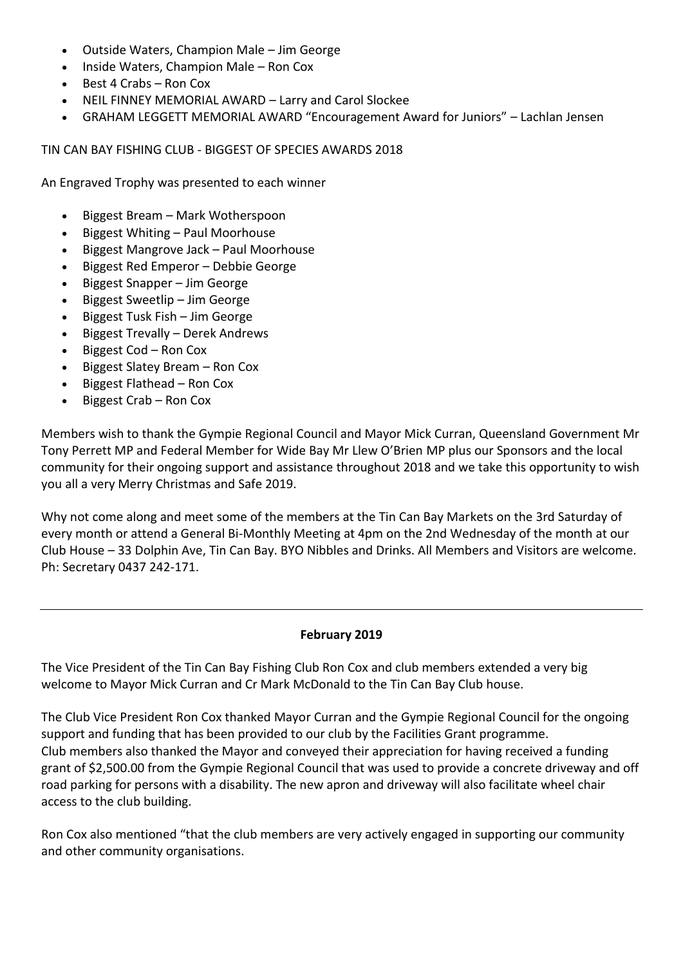- Outside Waters, Champion Male Jim George
- Inside Waters, Champion Male Ron Cox
- $\bullet$  Best 4 Crabs Ron Cox
- NEIL FINNEY MEMORIAL AWARD Larry and Carol Slockee
- GRAHAM LEGGETT MEMORIAL AWARD "Encouragement Award for Juniors" Lachlan Jensen

TIN CAN BAY FISHING CLUB - BIGGEST OF SPECIES AWARDS 2018

An Engraved Trophy was presented to each winner

- Biggest Bream Mark Wotherspoon
- $\bullet$  Biggest Whiting Paul Moorhouse
- Biggest Mangrove Jack Paul Moorhouse
- Biggest Red Emperor Debbie George
- Biggest Snapper Jim George
- Biggest Sweetlip Jim George
- $\bullet$  Biggest Tusk Fish Jim George
- Biggest Trevally Derek Andrews
- Biggest Cod Ron Cox
- $\bullet$  Biggest Slatey Bream Ron Cox
- Biggest Flathead Ron Cox
- Biggest Crab Ron Cox

Members wish to thank the Gympie Regional Council and Mayor Mick Curran, Queensland Government Mr Tony Perrett MP and Federal Member for Wide Bay Mr Llew O'Brien MP plus our Sponsors and the local community for their ongoing support and assistance throughout 2018 and we take this opportunity to wish you all a very Merry Christmas and Safe 2019.

Why not come along and meet some of the members at the Tin Can Bay Markets on the 3rd Saturday of every month or attend a General Bi-Monthly Meeting at 4pm on the 2nd Wednesday of the month at our Club House – 33 Dolphin Ave, Tin Can Bay. BYO Nibbles and Drinks. All Members and Visitors are welcome. Ph: Secretary 0437 242-171.

#### **February 2019**

The Vice President of the Tin Can Bay Fishing Club Ron Cox and club members extended a very big welcome to Mayor Mick Curran and Cr Mark McDonald to the Tin Can Bay Club house.

The Club Vice President Ron Cox thanked Mayor Curran and the Gympie Regional Council for the ongoing support and funding that has been provided to our club by the Facilities Grant programme. Club members also thanked the Mayor and conveyed their appreciation for having received a funding grant of \$2,500.00 from the Gympie Regional Council that was used to provide a concrete driveway and off road parking for persons with a disability. The new apron and driveway will also facilitate wheel chair access to the club building.

Ron Cox also mentioned "that the club members are very actively engaged in supporting our community and other community organisations.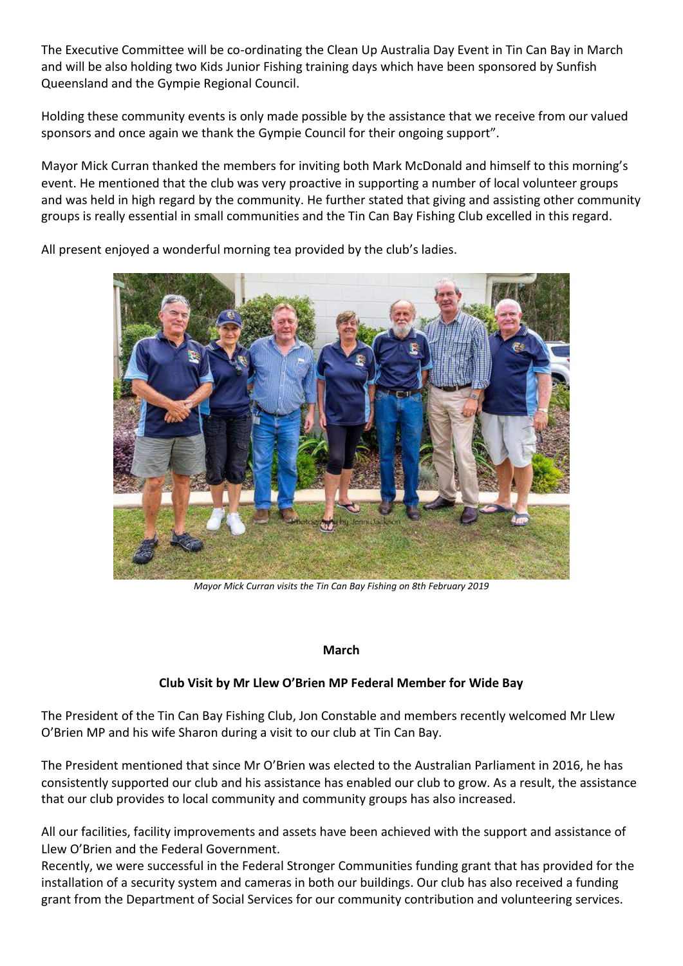The Executive Committee will be co-ordinating the Clean Up Australia Day Event in Tin Can Bay in March and will be also holding two Kids Junior Fishing training days which have been sponsored by Sunfish Queensland and the Gympie Regional Council.

Holding these community events is only made possible by the assistance that we receive from our valued sponsors and once again we thank the Gympie Council for their ongoing support".

Mayor Mick Curran thanked the members for inviting both Mark McDonald and himself to this morning's event. He mentioned that the club was very proactive in supporting a number of local volunteer groups and was held in high regard by the community. He further stated that giving and assisting other community groups is really essential in small communities and the Tin Can Bay Fishing Club excelled in this regard.



All present enjoyed a wonderful morning tea provided by the club's ladies.

*Mayor Mick Curran visits the Tin Can Bay Fishing on 8th February 2019*

#### **March**

## **Club Visit by Mr Llew O'Brien MP Federal Member for Wide Bay**

The President of the Tin Can Bay Fishing Club, Jon Constable and members recently welcomed Mr Llew O'Brien MP and his wife Sharon during a visit to our club at Tin Can Bay.

The President mentioned that since Mr O'Brien was elected to the Australian Parliament in 2016, he has consistently supported our club and his assistance has enabled our club to grow. As a result, the assistance that our club provides to local community and community groups has also increased.

All our facilities, facility improvements and assets have been achieved with the support and assistance of Llew O'Brien and the Federal Government.

Recently, we were successful in the Federal Stronger Communities funding grant that has provided for the installation of a security system and cameras in both our buildings. Our club has also received a funding grant from the Department of Social Services for our community contribution and volunteering services.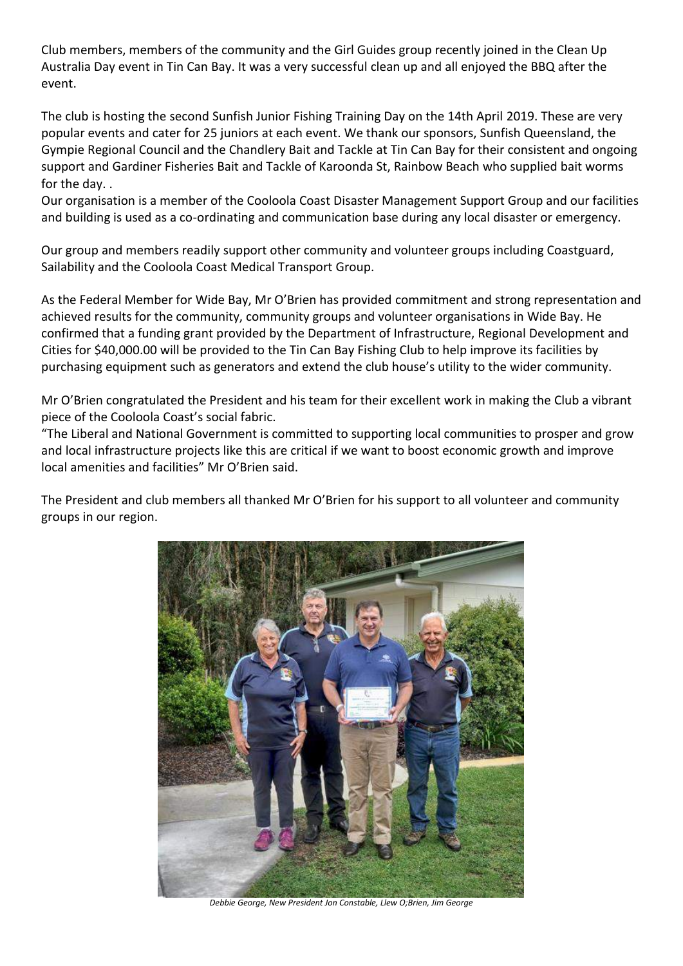Club members, members of the community and the Girl Guides group recently joined in the Clean Up Australia Day event in Tin Can Bay. It was a very successful clean up and all enjoyed the BBQ after the event.

The club is hosting the second Sunfish Junior Fishing Training Day on the 14th April 2019. These are very popular events and cater for 25 juniors at each event. We thank our sponsors, Sunfish Queensland, the Gympie Regional Council and the Chandlery Bait and Tackle at Tin Can Bay for their consistent and ongoing support and Gardiner Fisheries Bait and Tackle of Karoonda St, Rainbow Beach who supplied bait worms for the day. .

Our organisation is a member of the Cooloola Coast Disaster Management Support Group and our facilities and building is used as a co-ordinating and communication base during any local disaster or emergency.

Our group and members readily support other community and volunteer groups including Coastguard, Sailability and the Cooloola Coast Medical Transport Group.

As the Federal Member for Wide Bay, Mr O'Brien has provided commitment and strong representation and achieved results for the community, community groups and volunteer organisations in Wide Bay. He confirmed that a funding grant provided by the Department of Infrastructure, Regional Development and Cities for \$40,000.00 will be provided to the Tin Can Bay Fishing Club to help improve its facilities by purchasing equipment such as generators and extend the club house's utility to the wider community.

Mr O'Brien congratulated the President and his team for their excellent work in making the Club a vibrant piece of the Cooloola Coast's social fabric.

"The Liberal and National Government is committed to supporting local communities to prosper and grow and local infrastructure projects like this are critical if we want to boost economic growth and improve local amenities and facilities" Mr O'Brien said.

The President and club members all thanked Mr O'Brien for his support to all volunteer and community groups in our region.



*Debbie George, New President Jon Constable, Llew O;Brien, Jim George*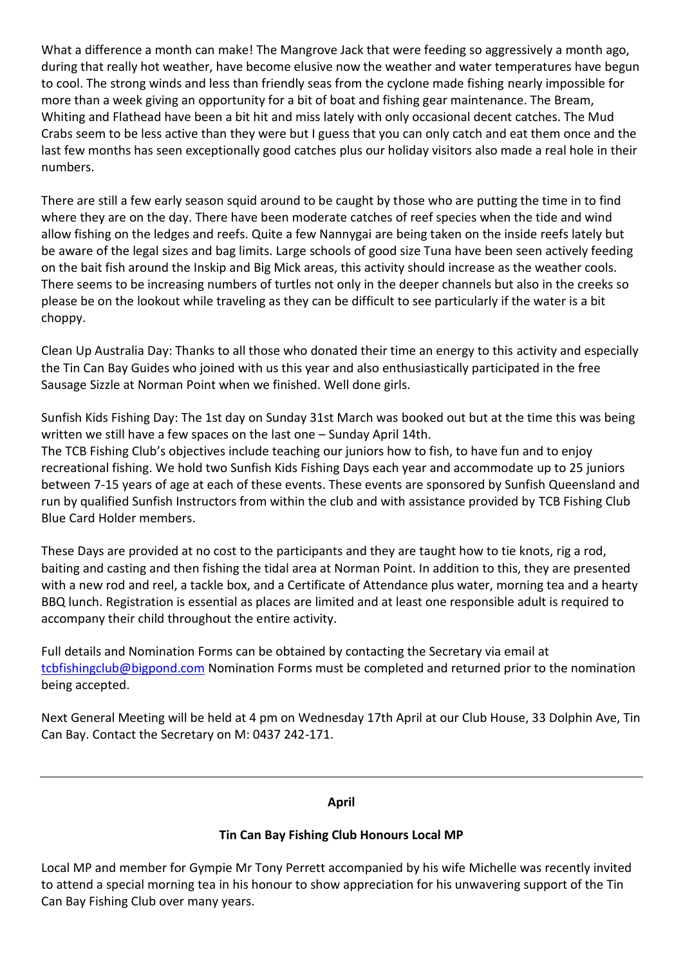What a difference a month can make! The Mangrove Jack that were feeding so aggressively a month ago, during that really hot weather, have become elusive now the weather and water temperatures have begun to cool. The strong winds and less than friendly seas from the cyclone made fishing nearly impossible for more than a week giving an opportunity for a bit of boat and fishing gear maintenance. The Bream, Whiting and Flathead have been a bit hit and miss lately with only occasional decent catches. The Mud Crabs seem to be less active than they were but I guess that you can only catch and eat them once and the last few months has seen exceptionally good catches plus our holiday visitors also made a real hole in their numbers.

There are still a few early season squid around to be caught by those who are putting the time in to find where they are on the day. There have been moderate catches of reef species when the tide and wind allow fishing on the ledges and reefs. Quite a few Nannygai are being taken on the inside reefs lately but be aware of the legal sizes and bag limits. Large schools of good size Tuna have been seen actively feeding on the bait fish around the Inskip and Big Mick areas, this activity should increase as the weather cools. There seems to be increasing numbers of turtles not only in the deeper channels but also in the creeks so please be on the lookout while traveling as they can be difficult to see particularly if the water is a bit choppy.

Clean Up Australia Day: Thanks to all those who donated their time an energy to this activity and especially the Tin Can Bay Guides who joined with us this year and also enthusiastically participated in the free Sausage Sizzle at Norman Point when we finished. Well done girls.

Sunfish Kids Fishing Day: The 1st day on Sunday 31st March was booked out but at the time this was being written we still have a few spaces on the last one – Sunday April 14th.

The TCB Fishing Club's objectives include teaching our juniors how to fish, to have fun and to enjoy recreational fishing. We hold two Sunfish Kids Fishing Days each year and accommodate up to 25 juniors between 7-15 years of age at each of these events. These events are sponsored by Sunfish Queensland and run by qualified Sunfish Instructors from within the club and with assistance provided by TCB Fishing Club Blue Card Holder members.

These Days are provided at no cost to the participants and they are taught how to tie knots, rig a rod, baiting and casting and then fishing the tidal area at Norman Point. In addition to this, they are presented with a new rod and reel, a tackle box, and a Certificate of Attendance plus water, morning tea and a hearty BBQ lunch. Registration is essential as places are limited and at least one responsible adult is required to accompany their child throughout the entire activity.

Full details and Nomination Forms can be obtained by contacting the Secretary via email at [tcbfishingclub@bigpond.com](mailto:tcbfishingclub@bigpond.com) Nomination Forms must be completed and returned prior to the nomination being accepted.

Next General Meeting will be held at 4 pm on Wednesday 17th April at our Club House, 33 Dolphin Ave, Tin Can Bay. Contact the Secretary on M: 0437 242-171.

#### **April**

## **Tin Can Bay Fishing Club Honours Local MP**

Local MP and member for Gympie Mr Tony Perrett accompanied by his wife Michelle was recently invited to attend a special morning tea in his honour to show appreciation for his unwavering support of the Tin Can Bay Fishing Club over many years.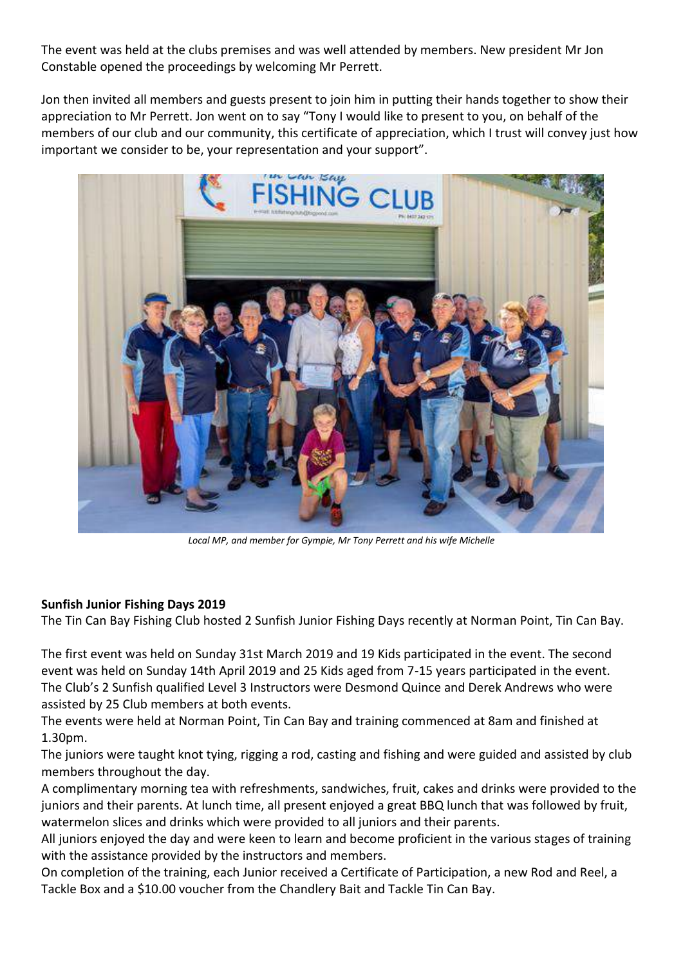The event was held at the clubs premises and was well attended by members. New president Mr Jon Constable opened the proceedings by welcoming Mr Perrett.

Jon then invited all members and guests present to join him in putting their hands together to show their appreciation to Mr Perrett. Jon went on to say "Tony I would like to present to you, on behalf of the members of our club and our community, this certificate of appreciation, which I trust will convey just how important we consider to be, your representation and your support".



*Local MP, and member for Gympie, Mr Tony Perrett and his wife Michelle*

## **Sunfish Junior Fishing Days 2019**

The Tin Can Bay Fishing Club hosted 2 Sunfish Junior Fishing Days recently at Norman Point, Tin Can Bay.

The first event was held on Sunday 31st March 2019 and 19 Kids participated in the event. The second event was held on Sunday 14th April 2019 and 25 Kids aged from 7-15 years participated in the event. The Club's 2 Sunfish qualified Level 3 Instructors were Desmond Quince and Derek Andrews who were assisted by 25 Club members at both events.

The events were held at Norman Point, Tin Can Bay and training commenced at 8am and finished at 1.30pm.

The juniors were taught knot tying, rigging a rod, casting and fishing and were guided and assisted by club members throughout the day.

A complimentary morning tea with refreshments, sandwiches, fruit, cakes and drinks were provided to the juniors and their parents. At lunch time, all present enjoyed a great BBQ lunch that was followed by fruit, watermelon slices and drinks which were provided to all juniors and their parents.

All juniors enjoyed the day and were keen to learn and become proficient in the various stages of training with the assistance provided by the instructors and members.

On completion of the training, each Junior received a Certificate of Participation, a new Rod and Reel, a Tackle Box and a \$10.00 voucher from the Chandlery Bait and Tackle Tin Can Bay.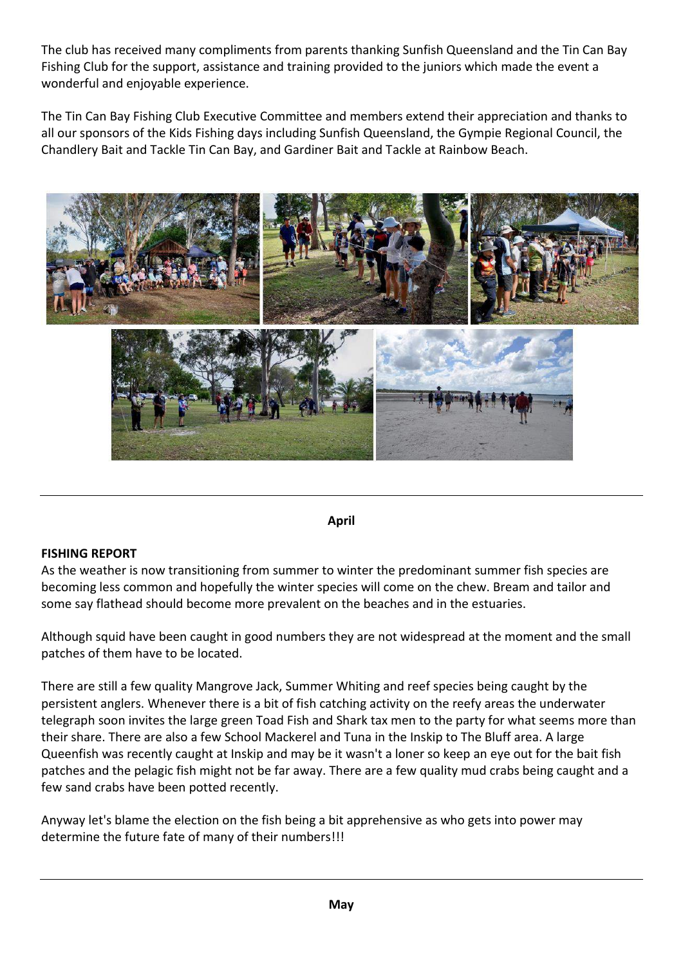The club has received many compliments from parents thanking Sunfish Queensland and the Tin Can Bay Fishing Club for the support, assistance and training provided to the juniors which made the event a wonderful and enjoyable experience.

The Tin Can Bay Fishing Club Executive Committee and members extend their appreciation and thanks to all our sponsors of the Kids Fishing days including Sunfish Queensland, the Gympie Regional Council, the Chandlery Bait and Tackle Tin Can Bay, and Gardiner Bait and Tackle at Rainbow Beach.



#### **April**

## **FISHING REPORT**

As the weather is now transitioning from summer to winter the predominant summer fish species are becoming less common and hopefully the winter species will come on the chew. Bream and tailor and some say flathead should become more prevalent on the beaches and in the estuaries.

Although squid have been caught in good numbers they are not widespread at the moment and the small patches of them have to be located.

There are still a few quality Mangrove Jack, Summer Whiting and reef species being caught by the persistent anglers. Whenever there is a bit of fish catching activity on the reefy areas the underwater telegraph soon invites the large green Toad Fish and Shark tax men to the party for what seems more than their share. There are also a few School Mackerel and Tuna in the Inskip to The Bluff area. A large Queenfish was recently caught at Inskip and may be it wasn't a loner so keep an eye out for the bait fish patches and the pelagic fish might not be far away. There are a few quality mud crabs being caught and a few sand crabs have been potted recently.

Anyway let's blame the election on the fish being a bit apprehensive as who gets into power may determine the future fate of many of their numbers!!!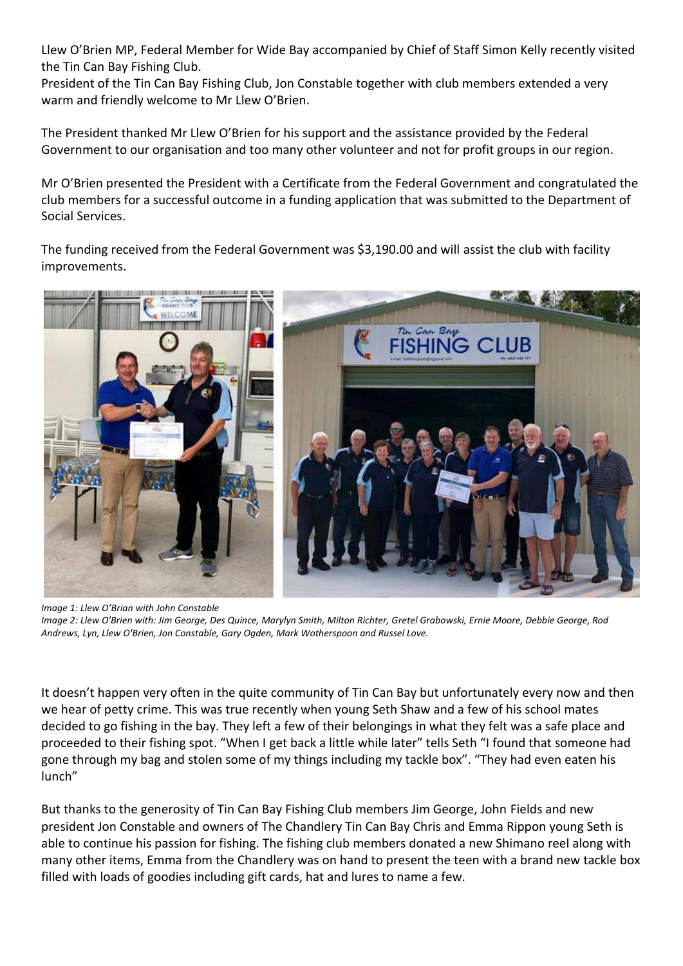Llew O'Brien MP, Federal Member for Wide Bay accompanied by Chief of Staff Simon Kelly recently visited the Tin Can Bay Fishing Club.

President of the Tin Can Bay Fishing Club, Jon Constable together with club members extended a very warm and friendly welcome to Mr Llew O'Brien.

The President thanked Mr Llew O'Brien for his support and the assistance provided by the Federal Government to our organisation and too many other volunteer and not for profit groups in our region.

Mr O'Brien presented the President with a Certificate from the Federal Government and congratulated the club members for a successful outcome in a funding application that was submitted to the Department of Social Services.

The funding received from the Federal Government was \$3,190.00 and will assist the club with facility improvements.



*Image 1: Llew O'Brian with John Constable Image 2: Llew O'Brien with: Jim George, Des Quince, Marylyn Smith, Milton Richter, Gretel Grabowski, Ernie Moore, Debbie George, Rod Andrews, Lyn, Llew O'Brien, Jon Constable, Gary Ogden, Mark Wotherspoon and Russel Love.*

It doesn't happen very often in the quite community of Tin Can Bay but unfortunately every now and then we hear of petty crime. This was true recently when young Seth Shaw and a few of his school mates decided to go fishing in the bay. They left a few of their belongings in what they felt was a safe place and proceeded to their fishing spot. "When I get back a little while later" tells Seth "I found that someone had gone through my bag and stolen some of my things including my tackle box". "They had even eaten his lunch"

But thanks to the generosity of Tin Can Bay Fishing Club members Jim George, John Fields and new president Jon Constable and owners of The Chandlery Tin Can Bay Chris and Emma Rippon young Seth is able to continue his passion for fishing. The fishing club members donated a new Shimano reel along with many other items, Emma from the Chandlery was on hand to present the teen with a brand new tackle box filled with loads of goodies including gift cards, hat and lures to name a few.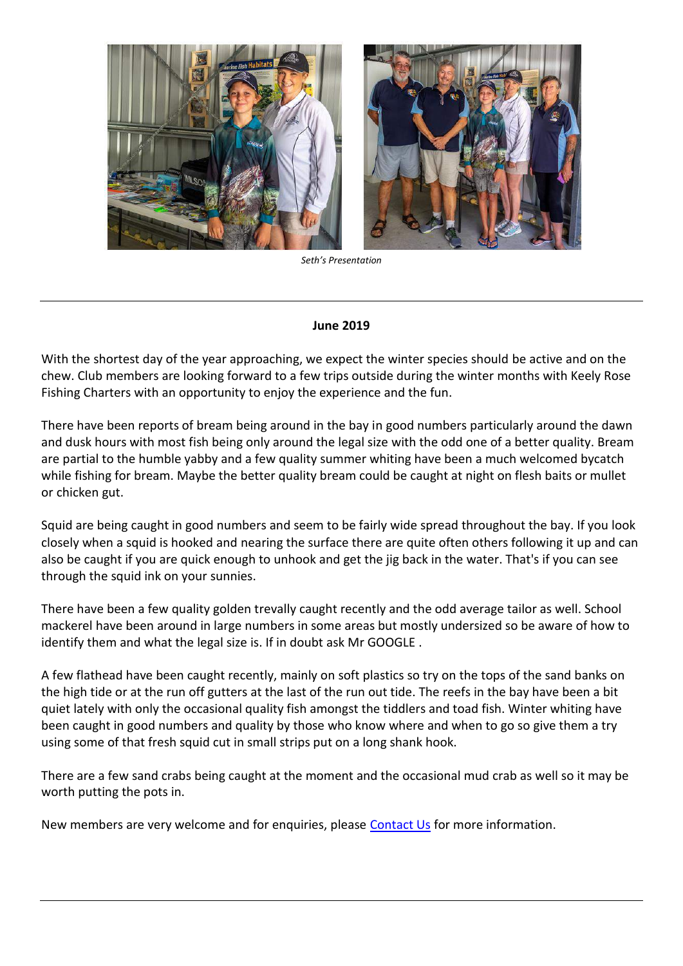



*Seth's Presentation*

#### **June 2019**

With the shortest day of the year approaching, we expect the winter species should be active and on the chew. Club members are looking forward to a few trips outside during the winter months with Keely Rose Fishing Charters with an opportunity to enjoy the experience and the fun.

There have been reports of bream being around in the bay in good numbers particularly around the dawn and dusk hours with most fish being only around the legal size with the odd one of a better quality. Bream are partial to the humble yabby and a few quality summer whiting have been a much welcomed bycatch while fishing for bream. Maybe the better quality bream could be caught at night on flesh baits or mullet or chicken gut.

Squid are being caught in good numbers and seem to be fairly wide spread throughout the bay. If you look closely when a squid is hooked and nearing the surface there are quite often others following it up and can also be caught if you are quick enough to unhook and get the jig back in the water. That's if you can see through the squid ink on your sunnies.

There have been a few quality golden trevally caught recently and the odd average tailor as well. School mackerel have been around in large numbers in some areas but mostly undersized so be aware of how to identify them and what the legal size is. If in doubt ask Mr GOOGLE .

A few flathead have been caught recently, mainly on soft plastics so try on the tops of the sand banks on the high tide or at the run off gutters at the last of the run out tide. The reefs in the bay have been a bit quiet lately with only the occasional quality fish amongst the tiddlers and toad fish. Winter whiting have been caught in good numbers and quality by those who know where and when to go so give them a try using some of that fresh squid cut in small strips put on a long shank hook.

There are a few sand crabs being caught at the moment and the occasional mud crab as well so it may be worth putting the pots in.

New members are very welcome and for enquiries, please [Contact Us](index.php?option=com_contact&view=contact&id=1&catid=9) for more information.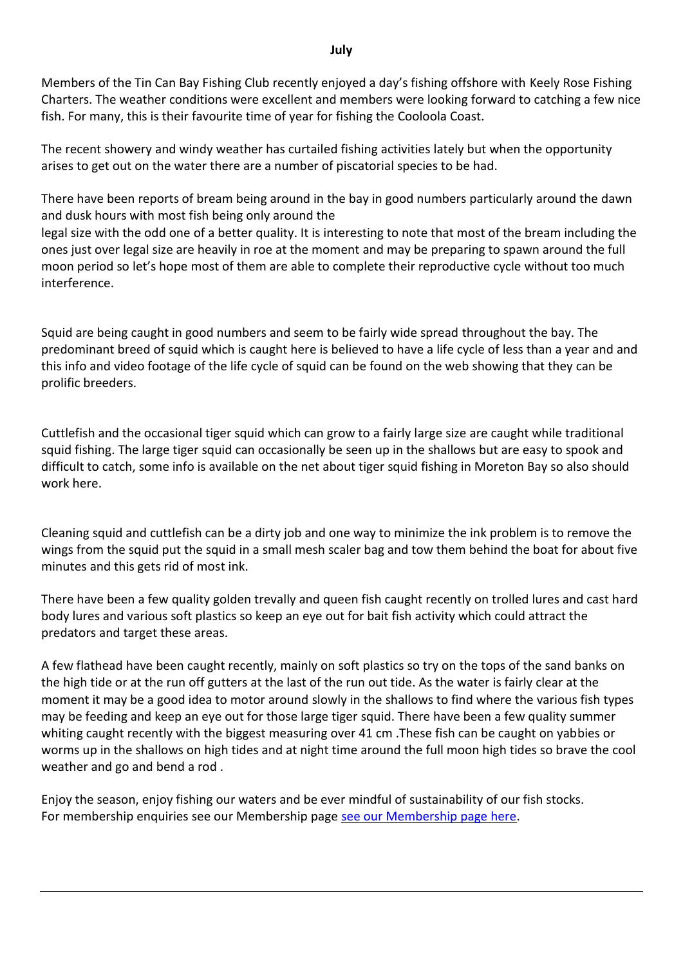Members of the Tin Can Bay Fishing Club recently enjoyed a day's fishing offshore with Keely Rose Fishing Charters. The weather conditions were excellent and members were looking forward to catching a few nice fish. For many, this is their favourite time of year for fishing the Cooloola Coast.

The recent showery and windy weather has curtailed fishing activities lately but when the opportunity arises to get out on the water there are a number of piscatorial species to be had.

There have been reports of bream being around in the bay in good numbers particularly around the dawn and dusk hours with most fish being only around the

legal size with the odd one of a better quality. It is interesting to note that most of the bream including the ones just over legal size are heavily in roe at the moment and may be preparing to spawn around the full moon period so let's hope most of them are able to complete their reproductive cycle without too much interference.

Squid are being caught in good numbers and seem to be fairly wide spread throughout the bay. The predominant breed of squid which is caught here is believed to have a life cycle of less than a year and and this info and video footage of the life cycle of squid can be found on the web showing that they can be prolific breeders.

Cuttlefish and the occasional tiger squid which can grow to a fairly large size are caught while traditional squid fishing. The large tiger squid can occasionally be seen up in the shallows but are easy to spook and difficult to catch, some info is available on the net about tiger squid fishing in Moreton Bay so also should work here.

Cleaning squid and cuttlefish can be a dirty job and one way to minimize the ink problem is to remove the wings from the squid put the squid in a small mesh scaler bag and tow them behind the boat for about five minutes and this gets rid of most ink.

There have been a few quality golden trevally and queen fish caught recently on trolled lures and cast hard body lures and various soft plastics so keep an eye out for bait fish activity which could attract the predators and target these areas.

A few flathead have been caught recently, mainly on soft plastics so try on the tops of the sand banks on the high tide or at the run off gutters at the last of the run out tide. As the water is fairly clear at the moment it may be a good idea to motor around slowly in the shallows to find where the various fish types may be feeding and keep an eye out for those large tiger squid. There have been a few quality summer whiting caught recently with the biggest measuring over 41 cm .These fish can be caught on yabbies or worms up in the shallows on high tides and at night time around the full moon high tides so brave the cool weather and go and bend a rod .

Enjoy the season, enjoy fishing our waters and be ever mindful of sustainability of our fish stocks. For membership enquiries see our Membership page [see our Membership page here.](index.php?option=com_content&view=article&id=5:membership&catid=8:general)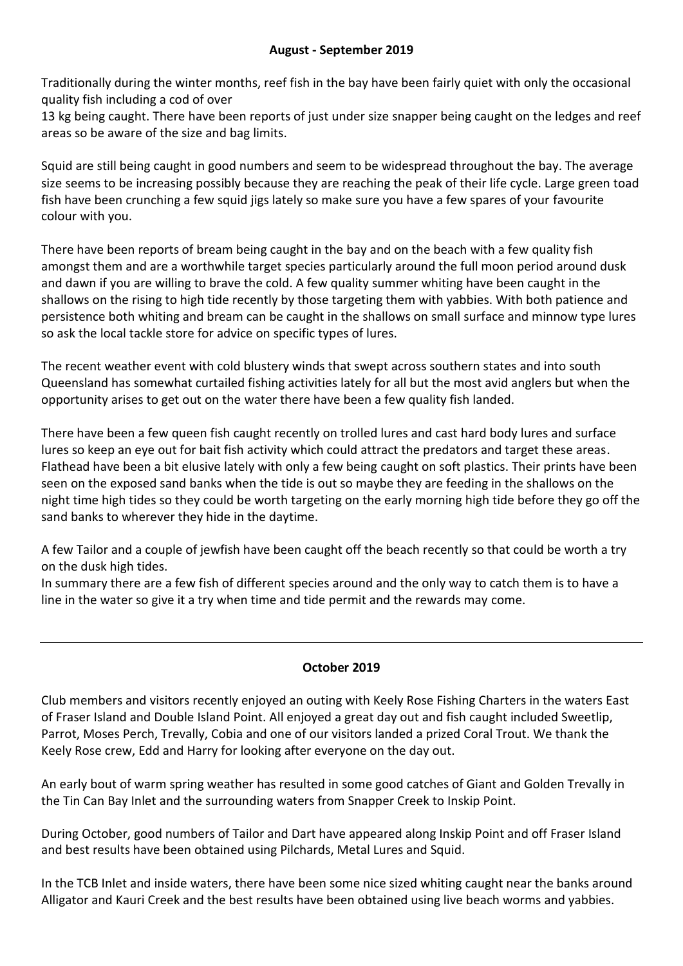Traditionally during the winter months, reef fish in the bay have been fairly quiet with only the occasional quality fish including a cod of over

13 kg being caught. There have been reports of just under size snapper being caught on the ledges and reef areas so be aware of the size and bag limits.

Squid are still being caught in good numbers and seem to be widespread throughout the bay. The average size seems to be increasing possibly because they are reaching the peak of their life cycle. Large green toad fish have been crunching a few squid jigs lately so make sure you have a few spares of your favourite colour with you.

There have been reports of bream being caught in the bay and on the beach with a few quality fish amongst them and are a worthwhile target species particularly around the full moon period around dusk and dawn if you are willing to brave the cold. A few quality summer whiting have been caught in the shallows on the rising to high tide recently by those targeting them with yabbies. With both patience and persistence both whiting and bream can be caught in the shallows on small surface and minnow type lures so ask the local tackle store for advice on specific types of lures.

The recent weather event with cold blustery winds that swept across southern states and into south Queensland has somewhat curtailed fishing activities lately for all but the most avid anglers but when the opportunity arises to get out on the water there have been a few quality fish landed.

There have been a few queen fish caught recently on trolled lures and cast hard body lures and surface lures so keep an eye out for bait fish activity which could attract the predators and target these areas. Flathead have been a bit elusive lately with only a few being caught on soft plastics. Their prints have been seen on the exposed sand banks when the tide is out so maybe they are feeding in the shallows on the night time high tides so they could be worth targeting on the early morning high tide before they go off the sand banks to wherever they hide in the daytime.

A few Tailor and a couple of jewfish have been caught off the beach recently so that could be worth a try on the dusk high tides.

In summary there are a few fish of different species around and the only way to catch them is to have a line in the water so give it a try when time and tide permit and the rewards may come.

# **October 2019**

Club members and visitors recently enjoyed an outing with Keely Rose Fishing Charters in the waters East of Fraser Island and Double Island Point. All enjoyed a great day out and fish caught included Sweetlip, Parrot, Moses Perch, Trevally, Cobia and one of our visitors landed a prized Coral Trout. We thank the Keely Rose crew, Edd and Harry for looking after everyone on the day out.

An early bout of warm spring weather has resulted in some good catches of Giant and Golden Trevally in the Tin Can Bay Inlet and the surrounding waters from Snapper Creek to Inskip Point.

During October, good numbers of Tailor and Dart have appeared along Inskip Point and off Fraser Island and best results have been obtained using Pilchards, Metal Lures and Squid.

In the TCB Inlet and inside waters, there have been some nice sized whiting caught near the banks around Alligator and Kauri Creek and the best results have been obtained using live beach worms and yabbies.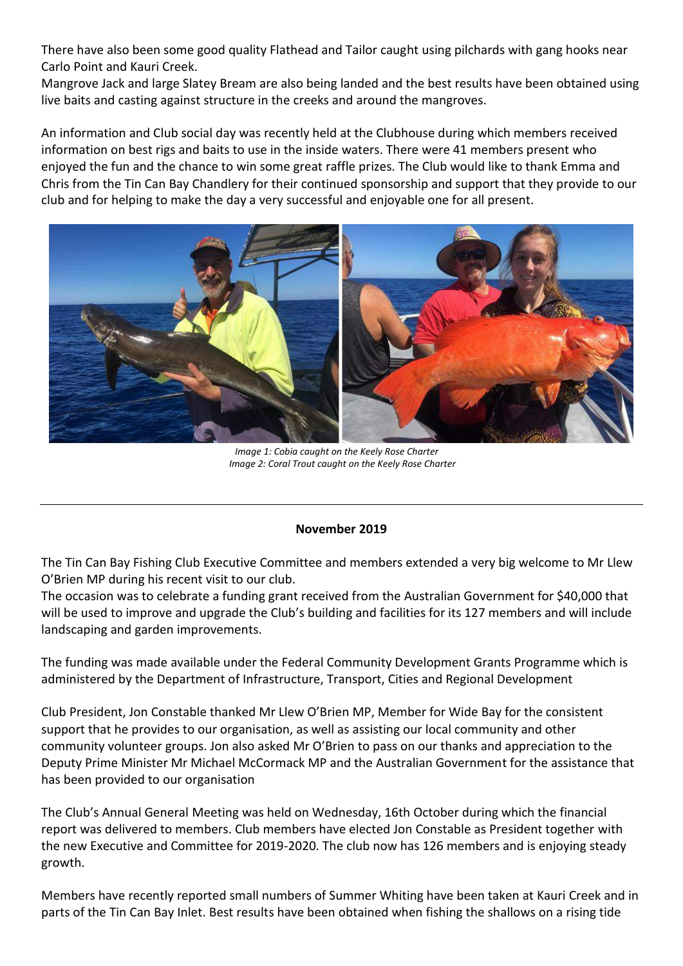There have also been some good quality Flathead and Tailor caught using pilchards with gang hooks near Carlo Point and Kauri Creek.

Mangrove Jack and large Slatey Bream are also being landed and the best results have been obtained using live baits and casting against structure in the creeks and around the mangroves.

An information and Club social day was recently held at the Clubhouse during which members received information on best rigs and baits to use in the inside waters. There were 41 members present who enjoyed the fun and the chance to win some great raffle prizes. The Club would like to thank Emma and Chris from the Tin Can Bay Chandlery for their continued sponsorship and support that they provide to our club and for helping to make the day a very successful and enjoyable one for all present.



*Image 1: Cobia caught on the Keely Rose Charter Image 2: Coral Trout caught on the Keely Rose Charter*

## **November 2019**

The Tin Can Bay Fishing Club Executive Committee and members extended a very big welcome to Mr Llew O'Brien MP during his recent visit to our club.

The occasion was to celebrate a funding grant received from the Australian Government for \$40,000 that will be used to improve and upgrade the Club's building and facilities for its 127 members and will include landscaping and garden improvements.

The funding was made available under the Federal Community Development Grants Programme which is administered by the Department of Infrastructure, Transport, Cities and Regional Development

Club President, Jon Constable thanked Mr Llew O'Brien MP, Member for Wide Bay for the consistent support that he provides to our organisation, as well as assisting our local community and other community volunteer groups. Jon also asked Mr O'Brien to pass on our thanks and appreciation to the Deputy Prime Minister Mr Michael McCormack MP and the Australian Government for the assistance that has been provided to our organisation

The Club's Annual General Meeting was held on Wednesday, 16th October during which the financial report was delivered to members. Club members have elected Jon Constable as President together with the new Executive and Committee for 2019-2020. The club now has 126 members and is enjoying steady growth.

Members have recently reported small numbers of Summer Whiting have been taken at Kauri Creek and in parts of the Tin Can Bay Inlet. Best results have been obtained when fishing the shallows on a rising tide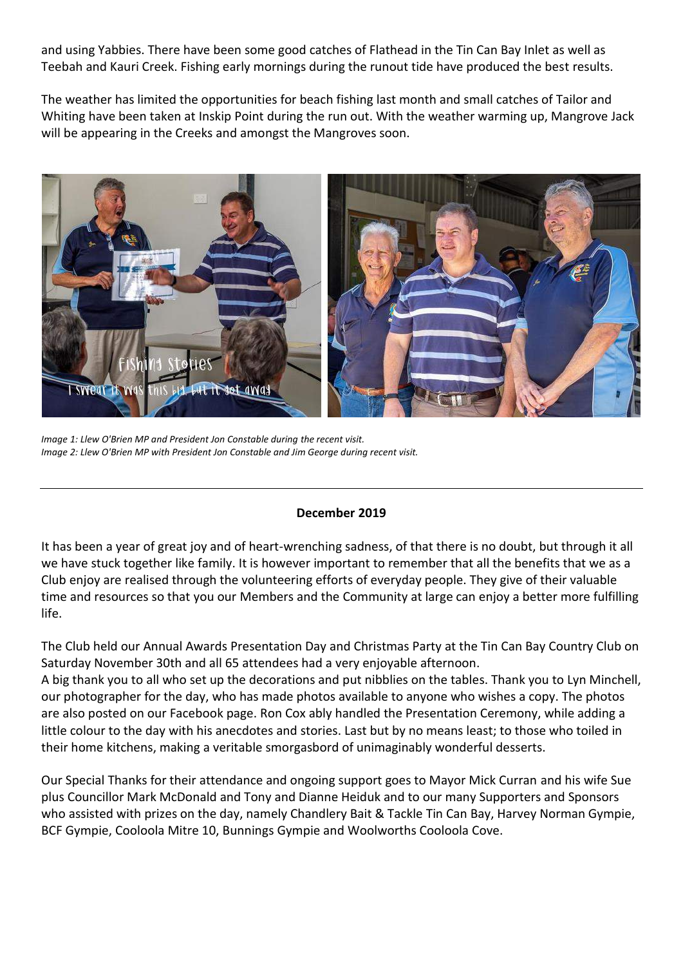and using Yabbies. There have been some good catches of Flathead in the Tin Can Bay Inlet as well as Teebah and Kauri Creek. Fishing early mornings during the runout tide have produced the best results.

The weather has limited the opportunities for beach fishing last month and small catches of Tailor and Whiting have been taken at Inskip Point during the run out. With the weather warming up, Mangrove Jack will be appearing in the Creeks and amongst the Mangroves soon.



*Image 1: Llew O'Brien MP and President Jon Constable during the recent visit. Image 2: Llew O'Brien MP with President Jon Constable and Jim George during recent visit.*

## **December 2019**

It has been a year of great joy and of heart-wrenching sadness, of that there is no doubt, but through it all we have stuck together like family. It is however important to remember that all the benefits that we as a Club enjoy are realised through the volunteering efforts of everyday people. They give of their valuable time and resources so that you our Members and the Community at large can enjoy a better more fulfilling life.

The Club held our Annual Awards Presentation Day and Christmas Party at the Tin Can Bay Country Club on Saturday November 30th and all 65 attendees had a very enjoyable afternoon.

A big thank you to all who set up the decorations and put nibblies on the tables. Thank you to Lyn Minchell, our photographer for the day, who has made photos available to anyone who wishes a copy. The photos are also posted on our Facebook page. Ron Cox ably handled the Presentation Ceremony, while adding a little colour to the day with his anecdotes and stories. Last but by no means least; to those who toiled in their home kitchens, making a veritable smorgasbord of unimaginably wonderful desserts.

Our Special Thanks for their attendance and ongoing support goes to Mayor Mick Curran and his wife Sue plus Councillor Mark McDonald and Tony and Dianne Heiduk and to our many Supporters and Sponsors who assisted with prizes on the day, namely Chandlery Bait & Tackle Tin Can Bay, Harvey Norman Gympie, BCF Gympie, Cooloola Mitre 10, Bunnings Gympie and Woolworths Cooloola Cove.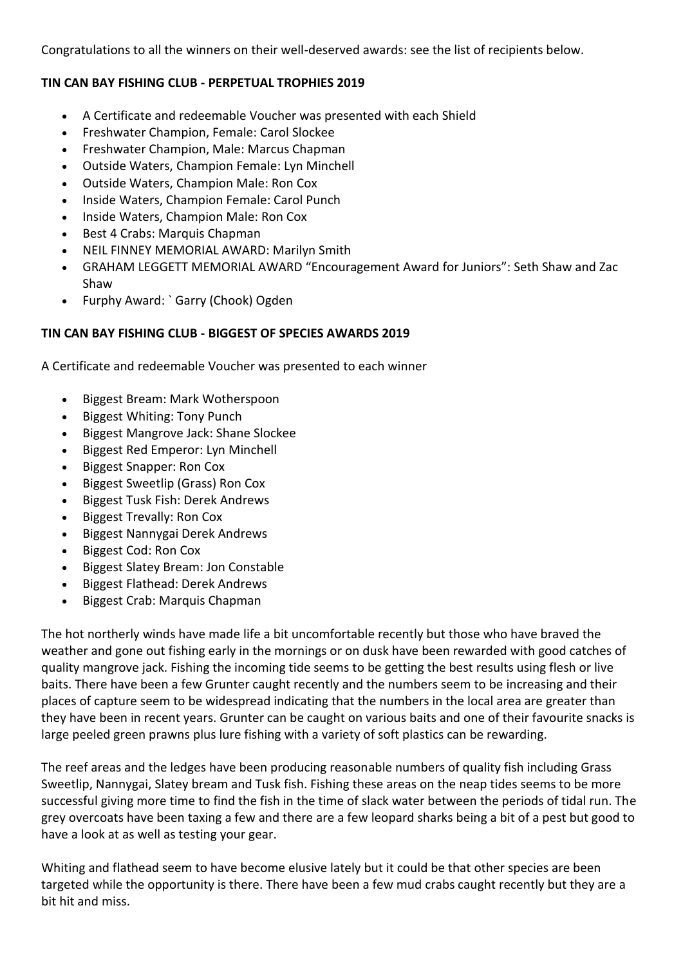Congratulations to all the winners on their well-deserved awards: see the list of recipients below.

## **TIN CAN BAY FISHING CLUB - PERPETUAL TROPHIES 2019**

- A Certificate and redeemable Voucher was presented with each Shield
- Freshwater Champion, Female: Carol Slockee
- Freshwater Champion, Male: Marcus Chapman
- Outside Waters, Champion Female: Lyn Minchell
- Outside Waters, Champion Male: Ron Cox
- Inside Waters, Champion Female: Carol Punch
- Inside Waters, Champion Male: Ron Cox
- Best 4 Crabs: Marquis Chapman
- NEIL FINNEY MEMORIAL AWARD: Marilyn Smith
- GRAHAM LEGGETT MEMORIAL AWARD "Encouragement Award for Juniors": Seth Shaw and Zac Shaw
- Furphy Award: `Garry (Chook) Ogden

## **TIN CAN BAY FISHING CLUB - BIGGEST OF SPECIES AWARDS 2019**

A Certificate and redeemable Voucher was presented to each winner

- Biggest Bream: Mark Wotherspoon
- Biggest Whiting: Tony Punch
- Biggest Mangrove Jack: Shane Slockee
- Biggest Red Emperor: Lyn Minchell
- Biggest Snapper: Ron Cox
- Biggest Sweetlip (Grass) Ron Cox
- Biggest Tusk Fish: Derek Andrews
- Biggest Trevally: Ron Cox
- Biggest Nannygai Derek Andrews
- Biggest Cod: Ron Cox
- Biggest Slatey Bream: Jon Constable
- Biggest Flathead: Derek Andrews
- Biggest Crab: Marquis Chapman

The hot northerly winds have made life a bit uncomfortable recently but those who have braved the weather and gone out fishing early in the mornings or on dusk have been rewarded with good catches of quality mangrove jack. Fishing the incoming tide seems to be getting the best results using flesh or live baits. There have been a few Grunter caught recently and the numbers seem to be increasing and their places of capture seem to be widespread indicating that the numbers in the local area are greater than they have been in recent years. Grunter can be caught on various baits and one of their favourite snacks is large peeled green prawns plus lure fishing with a variety of soft plastics can be rewarding.

The reef areas and the ledges have been producing reasonable numbers of quality fish including Grass Sweetlip, Nannygai, Slatey bream and Tusk fish. Fishing these areas on the neap tides seems to be more successful giving more time to find the fish in the time of slack water between the periods of tidal run. The grey overcoats have been taxing a few and there are a few leopard sharks being a bit of a pest but good to have a look at as well as testing your gear.

Whiting and flathead seem to have become elusive lately but it could be that other species are been targeted while the opportunity is there. There have been a few mud crabs caught recently but they are a bit hit and miss.